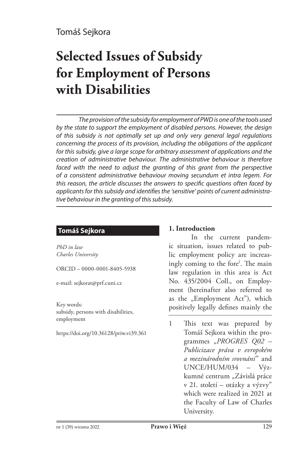# **Selected Issues of Subsidy for Employment of Persons with Disabilities**

*The provision of the subsidy for employment of PWD is one of the tools used by the state to support the employment of disabled persons. However, the design of this subsidy is not optimally set up and only very general legal regulations concerning the process of its provision, including the obligations of the applicant for this subsidy, give a large scope for arbitrary assessment of applications and the creation of administrative behaviour. The administrative behaviour is therefore*  faced with the need to adjust the granting of this grant from the perspective *of a consistent administrative behaviour moving secundum et intra legem. For this reason, the article discusses the answers to specific questions often faced by applicants for this subsidy and identifies the 'sensitive' points of current administrative behaviour in the granting of this subsidy.* 

## **Tomáš Sejkora**

*PhD in law Charles University*

ORCID – 0000-0001-8405-5938

e-mail: sejkorat@prf.cuni.cz

Key words: subsidy, persons with disabilities, employment

https://doi.org/10.36128/priw.vi39.361

## **1. Introduction**

In the current pandemic situation, issues related to public employment policy are increasingly coming to the fore<sup>1</sup>. The main law regulation in this area is Act No. 435/2004 Coll., on Employment (hereinafter also referred to as the "Employment Act"), which positively legally defines mainly the

1 This text was prepared by Tomáš Sejkora within the programmes "*PROGRES Q02 – Publicizace práva v evropském a mezinárodním srovnání*" and UNCE/HUM/034 – Výzkumné centrum "Závislá práce v 21. století – otázky a výzvy" which were realized in 2021 at the Faculty of Law of Charles University.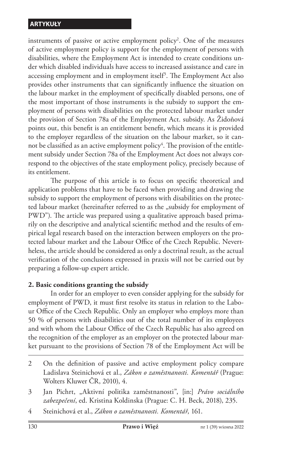instruments of passive or active employment policy<sup>2</sup>. One of the measures of active employment policy is support for the employment of persons with disabilities, where the Employment Act is intended to create conditions under which disabled individuals have access to increased assistance and care in accessing employment and in employment itself3 . The Employment Act also provides other instruments that can significantly influence the situation on the labour market in the employment of specifically disabled persons, one of the most important of those instruments is the subsidy to support the employment of persons with disabilities on the protected labour market under the provision of Section 78a of the Employment Act. subsidy. As Židoňová points out, this benefit is an entitlement benefit, which means it is provided to the employer regardless of the situation on the labour market, so it cannot be classified as an active employment policy $^4.$  The provision of the entitlement subsidy under Section 78a of the Employment Act does not always correspond to the objectives of the state employment policy, precisely because of its entitlement.

The purpose of this article is to focus on specific theoretical and application problems that have to be faced when providing and drawing the subsidy to support the employment of persons with disabilities on the protected labour market (hereinafter referred to as the "subsidy for employment of PWD"). The article was prepared using a qualitative approach based primarily on the descriptive and analytical scientific method and the results of empirical legal research based on the interaction between employers on the protected labour market and the Labour Office of the Czech Republic. Nevertheless, the article should be considered as only a doctrinal result, as the actual verification of the conclusions expressed in praxis will not be carried out by preparing a follow-up expert article.

## **2. Basic conditions granting the subsidy**

In order for an employer to even consider applying for the subsidy for employment of PWD, it must first resolve its status in relation to the Labour Office of the Czech Republic. Only an employer who employs more than 50 % of persons with disabilities out of the total number of its employees and with whom the Labour Office of the Czech Republic has also agreed on the recognition of the employer as an employer on the protected labour market pursuant to the provisions of Section 78 of the Employment Act will be

<sup>2</sup> On the definition of passive and active employment policy compare Ladislava Steinichová et al., *Zákon o zaměstnanosti. Komentář* (Prague: Wolters Kluwer ČR, 2010), 4.

<sup>3</sup> Jan Pichrt, "Aktivní politika zaměstnanosti", [in:] *Právo sociálního zabezpečení*, ed. Kristina Koldinska (Prague: C. H. Beck, 2018), 235.

<sup>4</sup> Steinichová et al., *Zákon o zaměstnanosti. Komentář*, 161.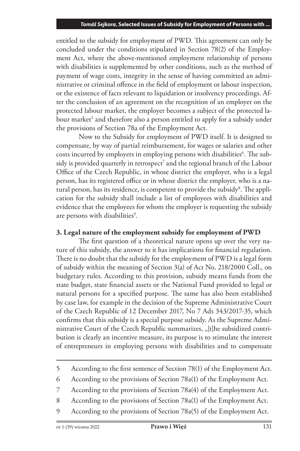entitled to the subsidy for employment of PWD. This agreement can only be concluded under the conditions stipulated in Section 78(2) of the Employment Act, where the above-mentioned employment relationship of persons with disabilities is supplemented by other conditions, such as the method of payment of wage costs, integrity in the sense of having committed an administrative or criminal offence in the field of employment or labour inspection, or the existence of facts relevant to liquidation or insolvency proceedings. After the conclusion of an agreement on the recognition of an employer on the protected labour market, the employer becomes a subject of the protected labour market<sup>5</sup> and therefore also a person entitled to apply for a subsidy under the provisions of Section 78a of the Employment Act.

Now to the Subsidy for employment of PWD itself. It is designed to compensate, by way of partial reimbursement, for wages or salaries and other costs incurred by employers in employing persons with disabilities<sup>6</sup>. The subsidy is provided quarterly in retrospect<sup>7</sup> and the regional branch of the Labour Office of the Czech Republic, in whose district the employer, who is a legal person, has its registered office or in whose district the employer, who is a natural person, has its residence, is competent to provide the subsidy<sup>8</sup>. The application for the subsidy shall include a list of employees with disabilities and evidence that the employees for whom the employer is requesting the subsidy are persons with disabilities<sup>9</sup>.

## **3. Legal nature of the employment subsidy for employment of PWD**

The first question of a theoretical nature opens up over the very nature of this subsidy, the answer to it has implications for financial regulation. There is no doubt that the subsidy for the employment of PWD is a legal form of subsidy within the meaning of Section 3(a) of Act No. 218/2000 Coll., on budgetary rules. According to this provision, subsidy means funds from the state budget, state financial assets or the National Fund provided to legal or natural persons for a specified purpose. The same has also been established by case law, for example in the decision of the Supreme Administrative Court of the Czech Republic of 12 December 2017, No 7 Ads 343/2017-35, which confirms that this subsidy is a special purpose subsidy. As the Supreme Administrative Court of the Czech Republic summarizes, "[t]he subsidized contribution is clearly an incentive measure, its purpose is to stimulate the interest of entrepreneurs in employing persons with disabilities and to compensate

- 8 According to the provisions of Section 78a(1) of the Employment Act.
- 9 According to the provisions of Section 78a(5) of the Employment Act.

<sup>5</sup> According to the first sentence of Section 78(1) of the Employment Act.

<sup>6</sup> According to the provisions of Section 78a(1) of the Employment Act.

<sup>7</sup> According to the provisions of Section 78a(4) of the Employment Act.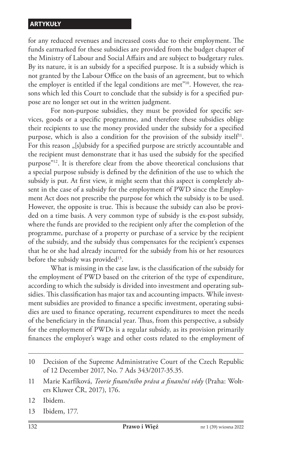for any reduced revenues and increased costs due to their employment. The funds earmarked for these subsidies are provided from the budget chapter of the Ministry of Labour and Social Affairs and are subject to budgetary rules. By its nature, it is an subsidy for a specified purpose. It is a subsidy which is not granted by the Labour Office on the basis of an agreement, but to which the employer is entitled if the legal conditions are met"<sup>10</sup>. However, the reasons which led this Court to conclude that the subsidy is for a specified purpose are no longer set out in the written judgment.

For non-purpose subsidies, they must be provided for specific services, goods or a specific programme, and therefore these subsidies oblige their recipients to use the money provided under the subsidy for a specified purpose, which is also a condition for the provision of the subsidy itself<sup>11</sup>. For this reason "[s]ubsidy for a specified purpose are strictly accountable and the recipient must demonstrate that it has used the subsidy for the specified purpose"12. It is therefore clear from the above theoretical conclusions that a special purpose subsidy is defined by the definition of the use to which the subsidy is put. At first view, it might seem that this aspect is completely absent in the case of a subsidy for the employment of PWD since the Employment Act does not prescribe the purpose for which the subsidy is to be used. However, the opposite is true. This is because the subsidy can also be provided on a time basis. A very common type of subsidy is the ex-post subsidy, where the funds are provided to the recipient only after the completion of the programme, purchase of a property or purchase of a service by the recipient of the subsidy, and the subsidy thus compensates for the recipient's expenses that he or she had already incurred for the subsidy from his or her resources before the subsidy was provided<sup>13</sup>.

What is missing in the case law, is the classification of the subsidy for the employment of PWD based on the criterion of the type of expenditure, according to which the subsidy is divided into investment and operating subsidies. This classification has major tax and accounting impacts. While investment subsidies are provided to finance a specific investment, operating subsidies are used to finance operating, recurrent expenditures to meet the needs of the beneficiary in the financial year. Thus, from this perspective, a subsidy for the employment of PWDs is a regular subsidy, as its provision primarily finances the employer's wage and other costs related to the employment of

13 Ibidem, 177.

<sup>10</sup> Decision of the Supreme Administrative Court of the Czech Republic of 12 December 2017, No. 7 Ads 343/2017-35.35.

<sup>11</sup> Marie Karfíková, *Teorie finančního práva a finanční vědy* (Praha: Wolters Kluwer ČR, 2017), 176.

<sup>12</sup> Ibidem.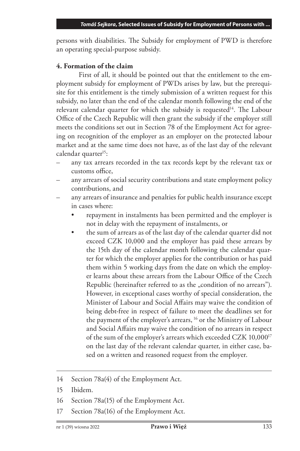persons with disabilities. The Subsidy for employment of PWD is therefore an operating special-purpose subsidy.

## **4. Formation of the claim**

First of all, it should be pointed out that the entitlement to the employment subsidy for employment of PWDs arises by law, but the prerequisite for this entitlement is the timely submission of a written request for this subsidy, no later than the end of the calendar month following the end of the relevant calendar quarter for which the subsidy is requested<sup>14</sup>. The Labour Office of the Czech Republic will then grant the subsidy if the employer still meets the conditions set out in Section 78 of the Employment Act for agreeing on recognition of the employer as an employer on the protected labour market and at the same time does not have, as of the last day of the relevant calendar quarter<sup>15</sup>:

- any tax arrears recorded in the tax records kept by the relevant tax or customs office,
- any arrears of social security contributions and state employment policy contributions, and
- any arrears of insurance and penalties for public health insurance except in cases where:
	- repayment in instalments has been permitted and the employer is not in delay with the repayment of instalments, or
	- the sum of arrears as of the last day of the calendar quarter did not exceed CZK 10,000 and the employer has paid these arrears by the 15th day of the calendar month following the calendar quarter for which the employer applies for the contribution or has paid them within 5 working days from the date on which the employer learns about these arrears from the Labour Office of the Czech Republic (hereinafter referred to as the "condition of no arrears"). However, in exceptional cases worthy of special consideration, the Minister of Labour and Social Affairs may waive the condition of being debt-free in respect of failure to meet the deadlines set for the payment of the employer's arrears, 16 or the Ministry of Labour and Social Affairs may waive the condition of no arrears in respect of the sum of the employer's arrears which exceeded CZK 10,00017 on the last day of the relevant calendar quarter, in either case, based on a written and reasoned request from the employer.

- 16 Section 78a(15) of the Employment Act.
- 17 Section 78a(16) of the Employment Act.

<sup>14</sup> Section 78a(4) of the Employment Act.

<sup>15</sup> Ibidem.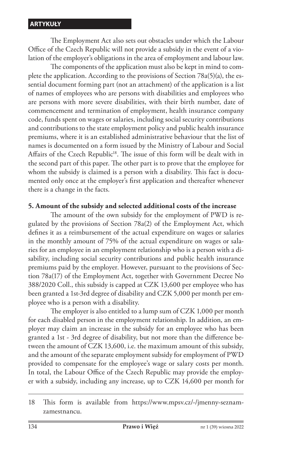The Employment Act also sets out obstacles under which the Labour Office of the Czech Republic will not provide a subsidy in the event of a violation of the employer's obligations in the area of employment and labour law.

The components of the application must also be kept in mind to complete the application. According to the provisions of Section 78a(5)(a), the essential document forming part (not an attachment) of the application is a list of names of employees who are persons with disabilities and employees who are persons with more severe disabilities, with their birth number, date of commencement and termination of employment, health insurance company code, funds spent on wages or salaries, including social security contributions and contributions to the state employment policy and public health insurance premiums, where it is an established administrative behaviour that the list of names is documented on a form issued by the Ministry of Labour and Social Affairs of the Czech Republic<sup>18</sup>. The issue of this form will be dealt with in the second part of this paper. The other part is to prove that the employee for whom the subsidy is claimed is a person with a disability. This fact is documented only once at the employer's first application and thereafter whenever there is a change in the facts.

### **5. Amount of the subsidy and selected additional costs of the increase**

The amount of the own subsidy for the employment of PWD is regulated by the provisions of Section 78a(2) of the Employment Act, which defines it as a reimbursement of the actual expenditure on wages or salaries in the monthly amount of 75% of the actual expenditure on wages or salaries for an employee in an employment relationship who is a person with a disability, including social security contributions and public health insurance premiums paid by the employer. However, pursuant to the provisions of Section 78a(17) of the Employment Act, together with Government Decree No 388/2020 Coll., this subsidy is capped at CZK 13,600 per employee who has been granted a 1st-3rd degree of disability and CZK 5,000 per month per employee who is a person with a disability.

The employer is also entitled to a lump sum of CZK 1,000 per month for each disabled person in the employment relationship. In addition, an employer may claim an increase in the subsidy for an employee who has been granted a 1st - 3rd degree of disability, but not more than the difference between the amount of CZK 13,600, i.e. the maximum amount of this subsidy, and the amount of the separate employment subsidy for employment of PWD provided to compensate for the employee's wage or salary costs per month. In total, the Labour Office of the Czech Republic may provide the employer with a subsidy, including any increase, up to CZK 14,600 per month for

<sup>18</sup> This form is available from https://www.mpsv.cz/-/jmenny-seznamzamestnancu.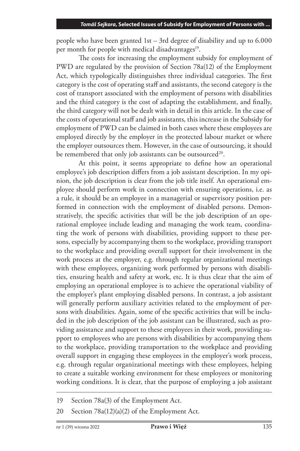people who have been granted 1st – 3rd degree of disability and up to 6.000 per month for people with medical disadvantages<sup>19</sup>.

The costs for increasing the employment subsidy for employment of PWD are regulated by the provision of Section 78a(12) of the Employment Act, which typologically distinguishes three individual categories. The first category is the cost of operating staff and assistants, the second category is the cost of transport associated with the employment of persons with disabilities and the third category is the cost of adapting the establishment, and finally, the third category will not be dealt with in detail in this article. In the case of the costs of operational staff and job assistants, this increase in the Subsidy for employment of PWD can be claimed in both cases where these employees are employed directly by the employer in the protected labour market or where the employer outsources them. However, in the case of outsourcing, it should be remembered that only job assistants can be outsourced<sup>20</sup>.

At this point, it seems appropriate to define how an operational employee's job description differs from a job assistant description. In my opinion, the job description is clear from the job title itself. An operational employee should perform work in connection with ensuring operations, i.e. as a rule, it should be an employee in a managerial or supervisory position performed in connection with the employment of disabled persons. Demonstratively, the specific activities that will be the job description of an operational employee include leading and managing the work team, coordinating the work of persons with disabilities, providing support to these persons, especially by accompanying them to the workplace, providing transport to the workplace and providing overall support for their involvement in the work process at the employer, e.g. through regular organizational meetings with these employees, organizing work performed by persons with disabilities, ensuring health and safety at work, etc. It is thus clear that the aim of employing an operational employee is to achieve the operational viability of the employer's plant employing disabled persons. In contrast, a job assistant will generally perform auxiliary activities related to the employment of persons with disabilities. Again, some of the specific activities that will be included in the job description of the job assistant can be illustrated, such as providing assistance and support to these employees in their work, providing support to employees who are persons with disabilities by accompanying them to the workplace, providing transportation to the workplace and providing overall support in engaging these employees in the employer's work process, e.g. through regular organizational meetings with these employees, helping to create a suitable working environment for these employees or monitoring working conditions. It is clear, that the purpose of employing a job assistant

<sup>19</sup> Section 78a(3) of the Employment Act.

<sup>20</sup> Section 78a(12)(a)(2) of the Employment Act.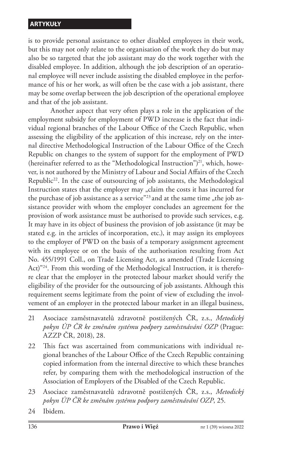is to provide personal assistance to other disabled employees in their work, but this may not only relate to the organisation of the work they do but may also be so targeted that the job assistant may do the work together with the disabled employee. In addition, although the job description of an operational employee will never include assisting the disabled employee in the performance of his or her work, as will often be the case with a job assistant, there may be some overlap between the job description of the operational employee and that of the job assistant.

Another aspect that very often plays a role in the application of the employment subsidy for employment of PWD increase is the fact that individual regional branches of the Labour Office of the Czech Republic, when assessing the eligibility of the application of this increase, rely on the internal directive Methodological Instruction of the Labour Office of the Czech Republic on changes to the system of support for the employment of PWD (hereinafter referred to as the "Methodological Instruction")<sup>21</sup>, which, however, is not authored by the Ministry of Labour and Social Affairs of the Czech Republic<sup>22</sup>. In the case of outsourcing of job assistants, the Methodological Instruction states that the employer may "claim the costs it has incurred for the purchase of job assistance as a service"<sup>23</sup> and at the same time  $n$ , the job assistance provider with whom the employer concludes an agreement for the provision of work assistance must be authorised to provide such services, e.g. It may have in its object of business the provision of job assistance (it may be stated e.g. in the articles of incorporation, etc.), it may assign its employees to the employer of PWD on the basis of a temporary assignment agreement with its employee or on the basis of the authorisation resulting from Act No. 455/1991 Coll., on Trade Licensing Act, as amended (Trade Licensing Act)"<sup>24</sup>. From this wording of the Methodological Instruction, it is therefore clear that the employer in the protected labour market should verify the eligibility of the provider for the outsourcing of job assistants. Although this requirement seems legitimate from the point of view of excluding the involvement of an employer in the protected labour market in an illegal business,

- 21 Asociace zaměstnavatelů zdravotně postižených ČR, z.s., *Metodický pokyn ÚP ČR ke změnám systému podpory zaměstnávání OZP* (Prague: AZZP ČR, 2018), 28.
- 22 This fact was ascertained from communications with individual regional branches of the Labour Office of the Czech Republic containing copied information from the internal directive to which these branches refer, by comparing them with the methodological instruction of the Association of Employers of the Disabled of the Czech Republic.
- 23 Asociace zaměstnavatelů zdravotně postižených ČR, z.s., *Metodický pokyn ÚP ČR ke změnám systému podpory zaměstnávání OZP*, 25.
- 24 Ibidem.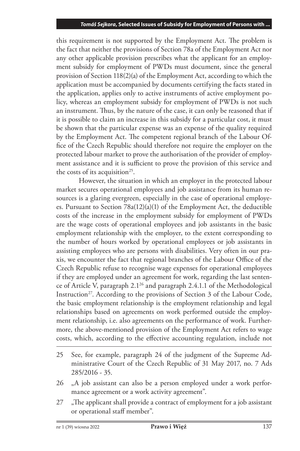this requirement is not supported by the Employment Act. The problem is the fact that neither the provisions of Section 78a of the Employment Act nor any other applicable provision prescribes what the applicant for an employment subsidy for employment of PWDs must document, since the general provision of Section 118(2)(a) of the Employment Act, according to which the application must be accompanied by documents certifying the facts stated in the application, applies only to active instruments of active employment policy, whereas an employment subsidy for employment of PWDs is not such an instrument. Thus, by the nature of the case, it can only be reasoned that if it is possible to claim an increase in this subsidy for a particular cost, it must be shown that the particular expense was an expense of the quality required by the Employment Act. The competent regional branch of the Labour Office of the Czech Republic should therefore not require the employer on the protected labour market to prove the authorisation of the provider of employment assistance and it is sufficient to prove the provision of this service and the costs of its acquisition<sup>25</sup>.

However, the situation in which an employer in the protected labour market secures operational employees and job assistance from its human resources is a glaring evergreen, especially in the case of operational employees. Pursuant to Section 78a(12)(a)(1) of the Employment Act, the deductible costs of the increase in the employment subsidy for employment of PWDs are the wage costs of operational employees and job assistants in the basic employment relationship with the employer, to the extent corresponding to the number of hours worked by operational employees or job assistants in assisting employees who are persons with disabilities. Very often in our praxis, we encounter the fact that regional branches of the Labour Office of the Czech Republic refuse to recognise wage expenses for operational employees if they are employed under an agreement for work, regarding the last sentence of Article V, paragraph 2.126 and paragraph 2.4.1.1 of the Methodological Instruction<sup>27</sup>. According to the provisions of Section 3 of the Labour Code, the basic employment relationship is the employment relationship and legal relationships based on agreements on work performed outside the employment relationship, i.e. also agreements on the performance of work. Furthermore, the above-mentioned provision of the Employment Act refers to wage costs, which, according to the effective accounting regulation, include not

- 25 See, for example, paragraph 24 of the judgment of the Supreme Administrative Court of the Czech Republic of 31 May 2017, no. 7 Ads 285/2016 - 35.
- 26 ".A job assistant can also be a person employed under a work performance agreement or a work activity agreement".
- 27 .The applicant shall provide a contract of employment for a job assistant or operational staff member".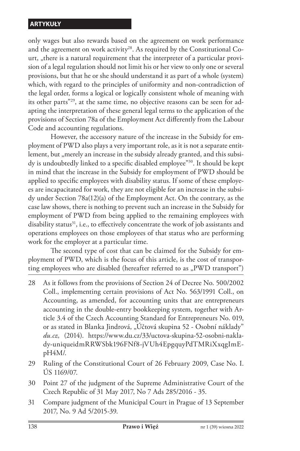only wages but also rewards based on the agreement on work performance and the agreement on work activity<sup>28</sup>. As required by the Constitutional Court, "there is a natural requirement that the interpreter of a particular provision of a legal regulation should not limit his or her view to only one or several provisions, but that he or she should understand it as part of a whole (system) which, with regard to the principles of uniformity and non-contradiction of the legal order, forms a logical or logically consistent whole of meaning with its other parts"29, at the same time, no objective reasons can be seen for adapting the interpretation of these general legal terms to the application of the provisions of Section 78a of the Employment Act differently from the Labour Code and accounting regulations.

However, the accessory nature of the increase in the Subsidy for employment of PWD also plays a very important role, as it is not a separate entitlement, but "merely an increase in the subsidy already granted, and this subsidy is undoubtedly linked to a specific disabled employee"30. It should be kept in mind that the increase in the Subsidy for employment of PWD should be applied to specific employees with disability status. If some of these employees are incapacitated for work, they are not eligible for an increase in the subsidy under Section 78a(12)(a) of the Employment Act. On the contrary, as the case law shows, there is nothing to prevent such an increase in the Subsidy for employment of PWD from being applied to the remaining employees with disability status $31$ , i.e., to effectively concentrate the work of job assistants and operations employees on those employees of that status who are performing work for the employer at a particular time.

The second type of cost that can be claimed for the Subsidy for employment of PWD, which is the focus of this article, is the cost of transporting employees who are disabled (hereafter referred to as  $_{n}$ PWD transport")

- 28 As it follows from the provisions of Section 24 of Decree No. 500/2002 Coll., implementing certain provisions of Act No. 563/1991 Coll., on Accounting, as amended, for accounting units that are entrepreneurs accounting in the double-entry bookkeeping system, together with Article 3.4 of the Czech Accounting Standard for Entrepreneurs No. 019, or as stated in Blanka Jindrová, "Účtová skupina 52 - Osobní náklady" *du.cz,* (2014). https://www.du.cz/33/uctova-skupina-52-osobni-naklady-uniqueidmRRWSbk196FNf8-jVUh4EpgquyPdTMRiXxqgImEpH4M/.
- 29 Ruling of the Constitutional Court of 26 February 2009, Case No. I. ÚS 1169/07.
- 30 Point 27 of the judgment of the Supreme Administrative Court of the Czech Republic of 31 May 2017, No 7 Ads 285/2016 - 35.
- 31 Compare judgment of the Municipal Court in Prague of 13 September 2017, No. 9 Ad 5/2015-39.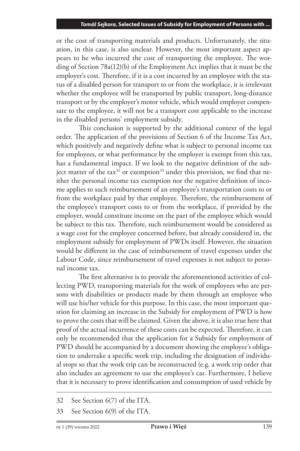or the cost of transporting materials and products. Unfortunately, the situation, in this case, is also unclear. However, the most important aspect appears to be who incurred the cost of transporting the employee. The wording of Section 78a(12)(b) of the Employment Act implies that it must be the employer's cost. Therefore, if it is a cost incurred by an employee with the status of a disabled person for transport to or from the workplace, it is irrelevant whether the employee will be transported by public transport, long-distance transport or by the employer's motor vehicle, which would employer compensate to the employee, it will not be a transport cost applicable to the increase in the disabled persons' employment subsidy.

This conclusion is supported by the additional context of the legal order. The application of the provisions of Section 6 of the Income Tax Act, which positively and negatively define what is subject to personal income tax for employees, or what performance by the employer is exempt from this tax, has a fundamental impact. If we look to the negative definition of the subject matter of the tax<sup>32</sup> or exemption<sup>33</sup> under this provision, we find that neither the personal income tax exemption nor the negative definition of income applies to such reimbursement of an employee's transportation costs to or from the workplace paid by that employee. Therefore, the reimbursement of the employee's transport costs to or from the workplace, if provided by the employer, would constitute income on the part of the employee which would be subject to this tax. Therefore, such reimbursement would be considered as a wage cost for the employee concerned before, but already considered in, the employment subsidy for employment of PWDs itself. However, the situation would be different in the case of reimbursement of travel expenses under the Labour Code, since reimbursement of travel expenses is not subject to personal income tax.

The first alternative is to provide the aforementioned activities of collecting PWD, transporting materials for the work of employees who are persons with disabilities or products made by them through an employee who will use his/her vehicle for this purpose. In this case, the most important question for claiming an increase in the Subsidy for employment of PWD is how to prove the costs that will be claimed. Given the above, it is also true here that proof of the actual incurrence of these costs can be expected. Therefore, it can only be recommended that the application for a Subsidy for employment of PWD should be accompanied by a document showing the employee's obligation to undertake a specific work trip, including the designation of individual stops so that the work trip can be reconstructed (e.g. a work trip order that also includes an agreement to use the employee's car. Furthermore, I believe that it is necessary to prove identification and consumption of used vehicle by

<sup>32</sup> See Section 6(7) of the ITA.

<sup>33</sup> See Section 6(9) of the ITA.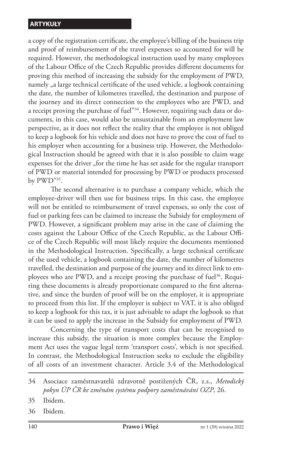a copy of the registration certificate, the employee's billing of the business trip and proof of reimbursement of the travel expenses so accounted for will be required. However, the methodological instruction used by many employees of the Labour Office of the Czech Republic provides different documents for proving this method of increasing the subsidy for the employment of PWD, namely , a large technical certificate of the used vehicle, a logbook containing the date, the number of kilometres travelled, the destination and purpose of the journey and its direct connection to the employees who are PWD, and a receipt proving the purchase of fuel"34. However, requiring such data or documents, in this case, would also be unsustainable from an employment law perspective, as it does not reflect the reality that the employee is not obliged to keep a logbook for his vehicle and does not have to prove the cost of fuel to his employer when accounting for a business trip. However, the Methodological Instruction should be agreed with that it is also possible to claim wage expenses for the driver "for the time he has set aside for the regular transport of PWD or material intended for processing by PWD or products processed by PWD"35.

The second alternative is to purchase a company vehicle, which the employee-driver will then use for business trips. In this case, the employee will not be entitled to reimbursement of travel expenses, so only the cost of fuel or parking fees can be claimed to increase the Subsidy for employment of PWD. However, a significant problem may arise in the case of claiming the costs against the Labour Office of the Czech Republic, as the Labour Office of the Czech Republic will most likely require the documents mentioned in the Methodological Instruction. Specifically, a large technical certificate of the used vehicle, a logbook containing the date, the number of kilometres travelled, the destination and purpose of the journey and its direct link to employees who are PWD, and a receipt proving the purchase of fuel<sup>36</sup>. Requiring these documents is already proportionate compared to the first alternative, and since the burden of proof will be on the employer, it is appropriate to proceed from this list. If the employer is subject to VAT, it is also obliged to keep a logbook for this tax, it is just advisable to adapt the logbook so that it can be used to apply the increase in the Subsidy for employment of PWD.

Concerning the type of transport costs that can be recognised to increase this subsidy, the situation is more complex because the Employment Act uses the vague legal term 'transport costs', which is not specified. In contrast, the Methodological Instruction seeks to exclude the eligibility of all costs of an investment character. Article 3.4 of the Methodological

36 Ibidem.

<sup>34</sup> Asociace zaměstnavatelů zdravotně postižených ČR, z.s., *Metodický pokyn ÚP ČR ke změnám systému podpory zaměstnávání OZP*, 26.

<sup>35</sup> Ibidem.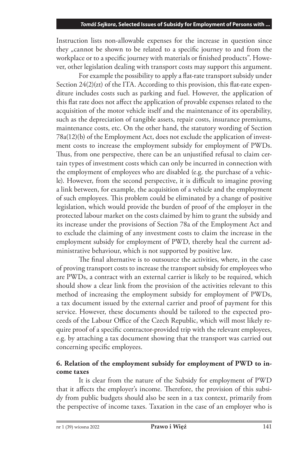Instruction lists non-allowable expenses for the increase in question since they <sub>"</sub>cannot be shown to be related to a specific journey to and from the workplace or to a specific journey with materials or finished products". However, other legislation dealing with transport costs may support this argument.

For example the possibility to apply a flat-rate transport subsidy under Section 24(2)(zt) of the ITA. According to this provision, this flat-rate expenditure includes costs such as parking and fuel. However, the application of this flat rate does not affect the application of provable expenses related to the acquisition of the motor vehicle itself and the maintenance of its operability, such as the depreciation of tangible assets, repair costs, insurance premiums, maintenance costs, etc. On the other hand, the statutory wording of Section 78a(12)(b) of the Employment Act, does not exclude the application of investment costs to increase the employment subsidy for employment of PWDs. Thus, from one perspective, there can be an unjustified refusal to claim certain types of investment costs which can only be incurred in connection with the employment of employees who are disabled (e.g. the purchase of a vehicle). However, from the second perspective, it is difficult to imagine proving a link between, for example, the acquisition of a vehicle and the employment of such employees. This problem could be eliminated by a change of positive legislation, which would provide the burden of proof of the employer in the protected labour market on the costs claimed by him to grant the subsidy and its increase under the provisions of Section 78a of the Employment Act and to exclude the claiming of any investment costs to claim the increase in the employment subsidy for employment of PWD, thereby heal the current administrative behaviour, which is not supported by positive law.

The final alternative is to outsource the activities, where, in the case of proving transport costs to increase the transport subsidy for employees who are PWDs, a contract with an external carrier is likely to be required, which should show a clear link from the provision of the activities relevant to this method of increasing the employment subsidy for employment of PWDs, a tax document issued by the external carrier and proof of payment for this service. However, these documents should be tailored to the expected proceeds of the Labour Office of the Czech Republic, which will most likely require proof of a specific contractor-provided trip with the relevant employees, e.g. by attaching a tax document showing that the transport was carried out concerning specific employees.

## **6. Relation of the employment subsidy for employment of PWD to income taxes**

It is clear from the nature of the Subsidy for employment of PWD that it affects the employer's income. Therefore, the provision of this subsidy from public budgets should also be seen in a tax context, primarily from the perspective of income taxes. Taxation in the case of an employer who is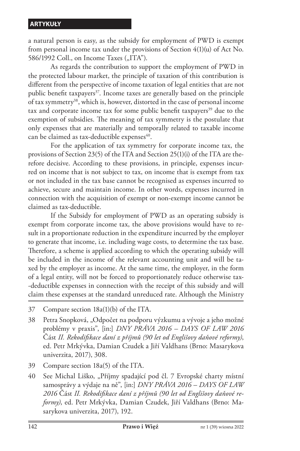a natural person is easy, as the subsidy for employment of PWD is exempt from personal income tax under the provisions of Section 4(1)(u) of Act No. 586/1992 Coll., on Income Taxes ("ITA").

As regards the contribution to support the employment of PWD in the protected labour market, the principle of taxation of this contribution is different from the perspective of income taxation of legal entities that are not public benefit taxpayers<sup>37</sup>. Income taxes are generally based on the principle of tax symmetry<sup>38</sup>, which is, however, distorted in the case of personal income tax and corporate income tax for some public benefit taxpayers $39$  due to the exemption of subsidies. The meaning of tax symmetry is the postulate that only expenses that are materially and temporally related to taxable income can be claimed as tax-deductible expenses<sup>40</sup>.

For the application of tax symmetry for corporate income tax, the provisions of Section 23(5) of the ITA and Section 25(1)(i) of the ITA are therefore decisive. According to these provisions, in principle, expenses incurred on income that is not subject to tax, on income that is exempt from tax or not included in the tax base cannot be recognised as expenses incurred to achieve, secure and maintain income. In other words, expenses incurred in connection with the acquisition of exempt or non-exempt income cannot be claimed as tax-deductible.

If the Subsidy for employment of PWD as an operating subsidy is exempt from corporate income tax, the above provisions would have to result in a proportionate reduction in the expenditure incurred by the employer to generate that income, i.e. including wage costs, to determine the tax base. Therefore, a scheme is applied according to which the operating subsidy will be included in the income of the relevant accounting unit and will be taxed by the employer as income. At the same time, the employer, in the form of a legal entity, will not be forced to proportionately reduce otherwise tax- -deductible expenses in connection with the receipt of this subsidy and will claim these expenses at the standard unreduced rate. Although the Ministry

- 37 Compare section 18a(1)(b) of the ITA.
- 38 Petra Snopková, "Odpočet na podporu výzkumu a vývoje a jeho možné problémy v praxis", [in:] *DNY PRÁVA 2016 – DAYS OF LAW 2016*  Část *II. Rekodifikace daní z příjmů (90 let od Englišovy daňové reformy)*, ed. Petr Mrkývka, Damian Czudek a Jiří Valdhans (Brno: Masarykova univerzita, 2017), 308.
- 39 Compare section 18a(5) of the ITA.

40 See Michal Liško, "Příjmy spadající pod čl. 7 Evropské charty místní samosprávy a výdaje na ně", [in:] *DNY PRÁVA 2016 – DAYS OF LAW 2016* Část *II. Rekodifikace daní z příjmů (90 let od Englišovy daňové reformy)*, ed. Petr Mrkývka, Damian Czudek, Jiří Valdhans (Brno: Masarykova univerzita, 2017), 192.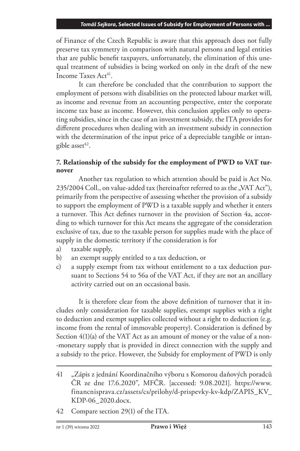of Finance of the Czech Republic is aware that this approach does not fully preserve tax symmetry in comparison with natural persons and legal entities that are public benefit taxpayers, unfortunately, the elimination of this unequal treatment of subsidies is being worked on only in the draft of the new Income Taxes Act<sup>41</sup>.

It can therefore be concluded that the contribution to support the employment of persons with disabilities on the protected labour market will, as income and revenue from an accounting perspective, enter the corporate income tax base as income. However, this conclusion applies only to operating subsidies, since in the case of an investment subsidy, the ITA provides for different procedures when dealing with an investment subsidy in connection with the determination of the input price of a depreciable tangible or intangible asset $42$ .

## **7. Relationship of the subsidy for the employment of PWD to VAT turnover**

Another tax regulation to which attention should be paid is Act No.  $235/2004$  Coll., on value-added tax (hereinafter referred to as the "VAT Act"), primarily from the perspective of assessing whether the provision of a subsidy to support the employment of PWD is a taxable supply and whether it enters a turnover. This Act defines turnover in the provision of Section 4a, according to which turnover for this Act means the aggregate of the consideration exclusive of tax, due to the taxable person for supplies made with the place of supply in the domestic territory if the consideration is for

- a) taxable supply,
- b) an exempt supply entitled to a tax deduction, or
- c) a supply exempt from tax without entitlement to a tax deduction pursuant to Sections 54 to 56a of the VAT Act, if they are not an ancillary activity carried out on an occasional basis.

It is therefore clear from the above definition of turnover that it includes only consideration for taxable supplies, exempt supplies with a right to deduction and exempt supplies collected without a right to deduction (e.g. income from the rental of immovable property). Consideration is defined by Section 4(1)(a) of the VAT Act as an amount of money or the value of a non- -monetary supply that is provided in direct connection with the supply and a subsidy to the price. However, the Subsidy for employment of PWD is only

<sup>41</sup> "Zápis z jednání Koordinačního výboru s Komorou daňových poradců ČR ze dne 17.6.2020", MFČR. [accessed: 9.08.2021]. https://www. financnisprava.cz/assets/cs/prilohy/d-prispevky-kv-kdp/ZAPIS\_KV\_ KDP-06\_2020.docx.

<sup>42</sup> Compare section 29(1) of the ITA.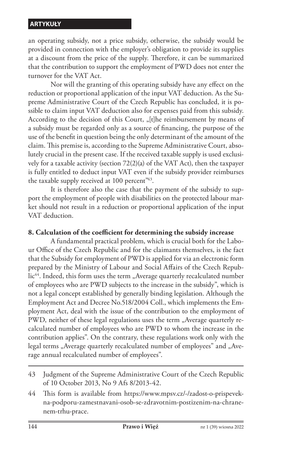an operating subsidy, not a price subsidy, otherwise, the subsidy would be provided in connection with the employer's obligation to provide its supplies at a discount from the price of the supply. Therefore, it can be summarized that the contribution to support the employment of PWD does not enter the turnover for the VAT Act.

Nor will the granting of this operating subsidy have any effect on the reduction or proportional application of the input VAT deduction. As the Supreme Administrative Court of the Czech Republic has concluded, it is possible to claim input VAT deduction also for expenses paid from this subsidy. According to the decision of this Court, "[t]he reimbursement by means of a subsidy must be regarded only as a source of financing, the purpose of the use of the benefit in question being the only determinant of the amount of the claim. This premise is, according to the Supreme Administrative Court, absolutely crucial in the present case. If the received taxable supply is used exclusively for a taxable activity (section 72(2)(a) of the VAT Act), then the taxpayer is fully entitled to deduct input VAT even if the subsidy provider reimburses the taxable supply received at 100 percent<sup>"43</sup>.

It is therefore also the case that the payment of the subsidy to support the employment of people with disabilities on the protected labour market should not result in a reduction or proportional application of the input VAT deduction.

## **8. Calculation of the coefficient for determining the subsidy increase**

A fundamental practical problem, which is crucial both for the Labour Office of the Czech Republic and for the claimants themselves, is the fact that the Subsidy for employment of PWD is applied for via an electronic form prepared by the Ministry of Labour and Social Affairs of the Czech Republic<sup>44</sup>. Indeed, this form uses the term "Average quarterly recalculated number of employees who are PWD subjects to the increase in the subsidy", which is not a legal concept established by generally binding legislation. Although the Employment Act and Decree No.518/2004 Coll., which implements the Employment Act, deal with the issue of the contribution to the employment of PWD, neither of these legal regulations uses the term "Average quarterly recalculated number of employees who are PWD to whom the increase in the contribution applies". On the contrary, these regulations work only with the legal terms "Average quarterly recalculated number of employees" and "Average annual recalculated number of employees".

<sup>43</sup> Judgment of the Supreme Administrative Court of the Czech Republic of 10 October 2013, No 9 Afs 8/2013-42.

<sup>44</sup> This form is available from https://www.mpsv.cz/-/zadost-o-prispevekna-podporu-zamestnavani-osob-se-zdravotnim-postizenim-na-chranenem-trhu-prace.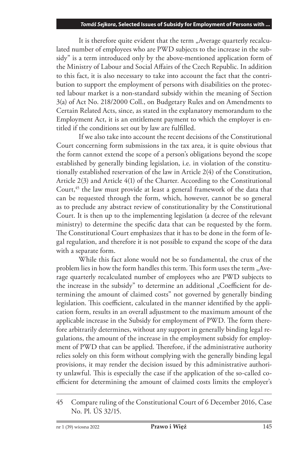It is therefore quite evident that the term "Average quarterly recalculated number of employees who are PWD subjects to the increase in the subsidy" is a term introduced only by the above-mentioned application form of the Ministry of Labour and Social Affairs of the Czech Republic. In addition to this fact, it is also necessary to take into account the fact that the contribution to support the employment of persons with disabilities on the protected labour market is a non-standard subsidy within the meaning of Section 3(a) of Act No. 218/2000 Coll., on Budgetary Rules and on Amendments to Certain Related Acts, since, as stated in the explanatory memorandum to the Employment Act, it is an entitlement payment to which the employer is entitled if the conditions set out by law are fulfilled.

If we also take into account the recent decisions of the Constitutional Court concerning form submissions in the tax area, it is quite obvious that the form cannot extend the scope of a person's obligations beyond the scope established by generally binding legislation, i.e. in violation of the constitutionally established reservation of the law in Article 2(4) of the Constitution, Article 2(3) and Article 4(1) of the Charter. According to the Constitutional Court,<sup>45</sup> the law must provide at least a general framework of the data that can be requested through the form, which, however, cannot be so general as to preclude any abstract review of constitutionality by the Constitutional Court. It is then up to the implementing legislation (a decree of the relevant ministry) to determine the specific data that can be requested by the form. The Constitutional Court emphasizes that it has to be done in the form of legal regulation, and therefore it is not possible to expand the scope of the data with a separate form.

While this fact alone would not be so fundamental, the crux of the problem lies in how the form handles this term. This form uses the term "Average quarterly recalculated number of employees who are PWD subjects to the increase in the subsidy" to determine an additional "Coefficient for determining the amount of claimed costs" not governed by generally binding legislation. This coefficient, calculated in the manner identified by the application form, results in an overall adjustment to the maximum amount of the applicable increase in the Subsidy for employment of PWD. The form therefore arbitrarily determines, without any support in generally binding legal regulations, the amount of the increase in the employment subsidy for employment of PWD that can be applied. Therefore, if the administrative authority relies solely on this form without complying with the generally binding legal provisions, it may render the decision issued by this administrative authority unlawful. This is especially the case if the application of the so-called coefficient for determining the amount of claimed costs limits the employer's

<sup>45</sup> Compare ruling of the Constitutional Court of 6 December 2016, Case No. Pl. ÚS 32/15.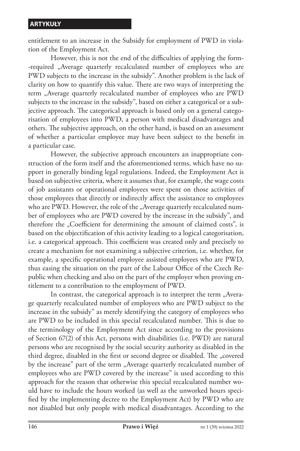entitlement to an increase in the Subsidy for employment of PWD in violation of the Employment Act.

However, this is not the end of the difficulties of applying the form- -required "Average quarterly recalculated number of employees who are PWD subjects to the increase in the subsidy". Another problem is the lack of clarity on how to quantify this value. There are two ways of interpreting the term "Average quarterly recalculated number of employees who are PWD subjects to the increase in the subsidy", based on either a categorical or a subjective approach. The categorical approach is based only on a general categorisation of employees into PWD, a person with medical disadvantages and others. The subjective approach, on the other hand, is based on an assessment of whether a particular employee may have been subject to the benefit in a particular case.

However, the subjective approach encounters an inappropriate construction of the form itself and the aforementioned terms, which have no support in generally binding legal regulations. Indeed, the Employment Act is based on subjective criteria, where it assumes that, for example, the wage costs of job assistants or operational employees were spent on those activities of those employees that directly or indirectly affect the assistance to employees who are PWD. However, the role of the "Average quarterly recalculated number of employees who are PWD covered by the increase in the subsidy", and therefore the "Coefficient for determining the amount of claimed costs", is based on the objectification of this activity leading to a logical categorisation, i.e. a categorical approach. This coefficient was created only and precisely to create a mechanism for not examining a subjective criterion, i.e. whether, for example, a specific operational employee assisted employees who are PWD, thus easing the situation on the part of the Labour Office of the Czech Republic when checking and also on the part of the employer when proving entitlement to a contribution to the employment of PWD.

In contrast, the categorical approach is to interpret the term "Average quarterly recalculated number of employees who are PWD subject to the increase in the subsidy" as merely identifying the category of employees who are PWD to be included in this special recalculated number. This is due to the terminology of the Employment Act since according to the provisions of Section 67(2) of this Act, persons with disabilities (i.e. PWD) are natural persons who are recognised by the social security authority as disabled in the third degree, disabled in the first or second degree or disabled. The "covered by the increase" part of the term "Average quarterly recalculated number of employees who are PWD covered by the increase" is used according to this approach for the reason that otherwise this special recalculated number would have to include the hours worked (as well as the unworked hours specified by the implementing decree to the Employment Act) by PWD who are not disabled but only people with medical disadvantages. According to the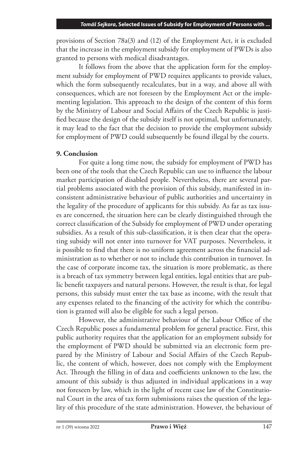provisions of Section 78a(3) and (12) of the Employment Act, it is excluded that the increase in the employment subsidy for employment of PWDs is also granted to persons with medical disadvantages.

It follows from the above that the application form for the employment subsidy for employment of PWD requires applicants to provide values, which the form subsequently recalculates, but in a way, and above all with consequences, which are not foreseen by the Employment Act or the implementing legislation. This approach to the design of the content of this form by the Ministry of Labour and Social Affairs of the Czech Republic is justified because the design of the subsidy itself is not optimal, but unfortunately, it may lead to the fact that the decision to provide the employment subsidy for employment of PWD could subsequently be found illegal by the courts.

## **9. Conclusion**

For quite a long time now, the subsidy for employment of PWD has been one of the tools that the Czech Republic can use to influence the labour market participation of disabled people. Nevertheless, there are several partial problems associated with the provision of this subsidy, manifested in inconsistent administrative behaviour of public authorities and uncertainty in the legality of the procedure of applicants for this subsidy. As far as tax issues are concerned, the situation here can be clearly distinguished through the correct classification of the Subsidy for employment of PWD under operating subsidies. As a result of this sub-classification, it is then clear that the operating subsidy will not enter into turnover for VAT purposes. Nevertheless, it is possible to find that there is no uniform agreement across the financial administration as to whether or not to include this contribution in turnover. In the case of corporate income tax, the situation is more problematic, as there is a breach of tax symmetry between legal entities, legal entities that are public benefit taxpayers and natural persons. However, the result is that, for legal persons, this subsidy must enter the tax base as income, with the result that any expenses related to the financing of the activity for which the contribution is granted will also be eligible for such a legal person.

However, the administrative behaviour of the Labour Office of the Czech Republic poses a fundamental problem for general practice. First, this public authority requires that the application for an employment subsidy for the employment of PWD should be submitted via an electronic form prepared by the Ministry of Labour and Social Affairs of the Czech Republic, the content of which, however, does not comply with the Employment Act. Through the filling in of data and coefficients unknown to the law, the amount of this subsidy is thus adjusted in individual applications in a way not foreseen by law, which in the light of recent case law of the Constitutional Court in the area of tax form submissions raises the question of the legality of this procedure of the state administration. However, the behaviour of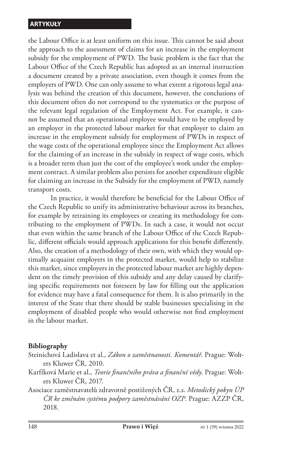the Labour Office is at least uniform on this issue. This cannot be said about the approach to the assessment of claims for an increase in the employment subsidy for the employment of PWD. The basic problem is the fact that the Labour Office of the Czech Republic has adopted as an internal instruction a document created by a private association, even though it comes from the employers of PWD. One can only assume to what extent a rigorous legal analysis was behind the creation of this document, however, the conclusions of this document often do not correspond to the systematics or the purpose of the relevant legal regulation of the Employment Act. For example, it cannot be assumed that an operational employee would have to be employed by an employer in the protected labour market for that employer to claim an increase in the employment subsidy for employment of PWDs in respect of the wage costs of the operational employee since the Employment Act allows for the claiming of an increase in the subsidy in respect of wage costs, which is a broader term than just the cost of the employee's work under the employment contract. A similar problem also persists for another expenditure eligible for claiming an increase in the Subsidy for the employment of PWD, namely transport costs.

In practice, it would therefore be beneficial for the Labour Office of the Czech Republic to unify its administrative behaviour across its branches, for example by retraining its employees or creating its methodology for contributing to the employment of PWDs. In such a case, it would not occur that even within the same branch of the Labour Office of the Czech Republic, different officials would approach applications for this benefit differently. Also, the creation of a methodology of their own, with which they would optimally acquaint employers in the protected market, would help to stabilize this market, since employers in the protected labour market are highly dependent on the timely provision of this subsidy and any delay caused by clarifying specific requirements not foreseen by law for filling out the application for evidence may have a fatal consequence for them. It is also primarily in the interest of the State that there should be stable businesses specialising in the employment of disabled people who would otherwise not find employment in the labour market.

#### **Bibliography**

- Steinichová Ladislava et al., *Zákon o zaměstnanosti. Komentář*. Prague: Wolters Kluwer ČR, 2010.
- Karfíková Marie et al., *Teorie finančního práva a finanční vědy*. Prague: Wolters Kluwer ČR, 2017.
- Asociace zaměstnavatelů zdravotně postižených ČR, z.s. *Metodický pokyn ÚP ČR ke změnám systému podpory zaměstnávání OZP*. Prague: AZZP ČR, 2018.